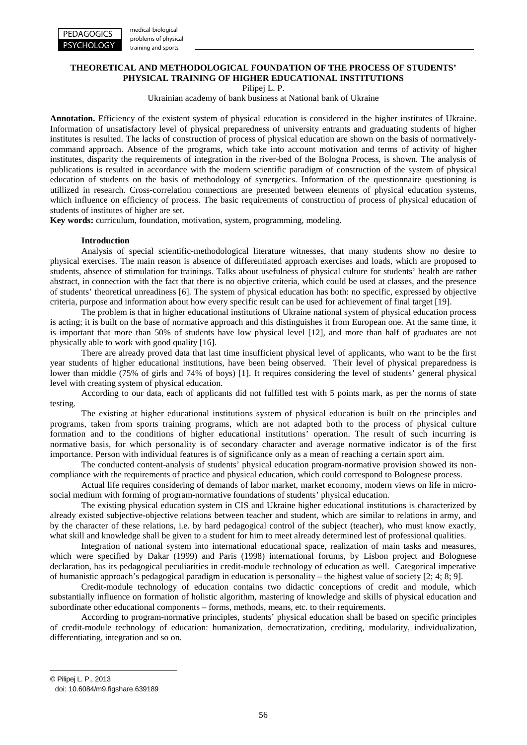

# training and sports

# **THEORETICAL AND METHODOLOGICAL FOUNDATION OF THE PROCESS OF STUDENTS' PHYSICAL TRAINING OF HIGHER EDUCATIONAL INSTITUTIONS**

Pilipej L. P.

Ukrainian academy of bank business at National bank of Ukraine

**Annotation.** Efficiency of the existent system of physical education is considered in the higher institutes of Ukraine. Information of unsatisfactory level of physical preparedness of university entrants and graduating students of higher institutes is resulted. The lacks of construction of process of physical education are shown on the basis of normativelycommand approach. Absence of the programs, which take into account motivation and terms of activity of higher institutes, disparity the requirements of integration in the river-bed of the Bologna Process, is shown. The analysis of publications is resulted in accordance with the modern scientific paradigm of construction of the system of physical education of students on the basis of methodology of synergetics. Information of the questionnaire questioning is utillized in research. Cross-correlation connections are presented between elements of physical education systems, which influence on efficiency of process. The basic requirements of construction of process of physical education of students of institutes of higher are set.

**Key words:** curriculum, foundation, motivation, system, programming, modeling.

## **Introduction**

Analysis of special scientific-methodological literature witnesses, that many students show no desire to physical exercises. The main reason is absence of differentiated approach exercises and loads, which are proposed to students, absence of stimulation for trainings. Talks about usefulness of physical culture for students' health are rather abstract, in connection with the fact that there is no objective criteria, which could be used at classes, and the presence of students' theoretical unreadiness [6]. The system of physical education has both: no specific, expressed by objective criteria, purpose and information about how every specific result can be used for achievement of final target [19].

The problem is that in higher educational institutions of Ukraine national system of physical education process is acting; it is built on the base of normative approach and this distinguishes it from European one. At the same time, it is important that more than 50% of students have low physical level [12], and more than half of graduates are not physically able to work with good quality [16].

There are already proved data that last time insufficient physical level of applicants, who want to be the first year students of higher educational institutions, have been being observed. Their level of physical preparedness is lower than middle (75% of girls and 74% of boys) [1]. It requires considering the level of students' general physical level with creating system of physical education.

According to our data, each of applicants did not fulfilled test with 5 points mark, as per the norms of state testing.

The existing at higher educational institutions system of physical education is built on the principles and programs, taken from sports training programs, which are not adapted both to the process of physical culture formation and to the conditions of higher educational institutions' operation. The result of such incurring is normative basis, for which personality is of secondary character and average normative indicator is of the first importance. Person with individual features is of significance only as a mean of reaching a certain sport aim.

The conducted content-analysis of students' physical education program-normative provision showed its noncompliance with the requirements of practice and physical education, which could correspond to Bolognese process.

Actual life requires considering of demands of labor market, market economy, modern views on life in microsocial medium with forming of program-normative foundations of students' physical education.

The existing physical education system in CIS and Ukraine higher educational institutions is characterized by already existed subjective-objective relations between teacher and student, which are similar to relations in army, and by the character of these relations, i.e. by hard pedagogical control of the subject (teacher), who must know exactly, what skill and knowledge shall be given to a student for him to meet already determined lest of professional qualities.

Integration of national system into international educational space, realization of main tasks and measures, which were specified by Dakar (1999) and Paris (1998) international forums, by Lisbon project and Bolognese declaration, has its pedagogical peculiarities in credit-module technology of education as well. Categorical imperative of humanistic approach's pedagogical paradigm in education is personality – the highest value of society [2; 4; 8; 9].

Credit-module technology of education contains two didactic conceptions of credit and module, which substantially influence on formation of holistic algorithm, mastering of knowledge and skills of physical education and subordinate other educational components – forms, methods, means, etc. to their requirements.

According to program-normative principles, students' physical education shall be based on specific principles of credit-module technology of education: humanization, democratization, crediting, modularity, individualization, differentiating, integration and so on.

<span id="page-0-0"></span>© Pilipej L. P., 2013 doi: 10.6084/m9.figshare.639189

-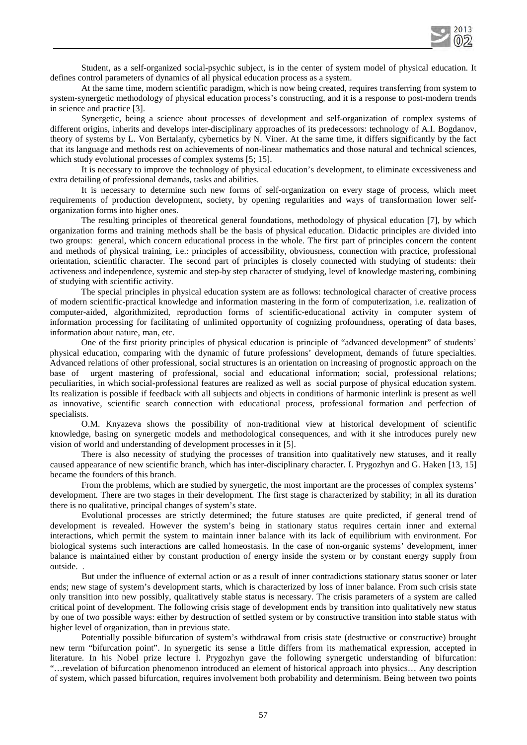

Student, as a self-organized social-psychic subject, is in the center of system model of physical education. It defines control parameters of dynamics of all physical education process as a system.

At the same time, modern scientific paradigm, which is now being created, requires transferring from system to system-synergetic methodology of physical education process's constructing, and it is a response to post-modern trends in science and practice [3].

Synergetic, being a science about processes of development and self-organization of complex systems of different origins, inherits and develops inter-disciplinary approaches of its predecessors: technology of A.I. Bogdanov, theory of systems by L. Von Bertalanfy, cybernetics by N. Viner. At the same time, it differs significantly by the fact that its language and methods rest on achievements of non-linear mathematics and those natural and technical sciences, which study evolutional processes of complex systems [5; 15].

It is necessary to improve the technology of physical education's development, to eliminate excessiveness and extra detailing of professional demands, tasks and abilities.

It is necessary to determine such new forms of self-organization on every stage of process, which meet requirements of production development, society, by opening regularities and ways of transformation lower selforganization forms into higher ones.

The resulting principles of theoretical general foundations, methodology of physical education [7], by which organization forms and training methods shall be the basis of physical education. Didactic principles are divided into two groups: general, which concern educational process in the whole. The first part of principles concern the content and methods of physical training, i.e.: principles of accessibility, obviousness, connection with practice, professional orientation, scientific character. The second part of principles is closely connected with studying of students: their activeness and independence, systemic and step-by step character of studying, level of knowledge mastering, combining of studying with scientific activity.

The special principles in physical education system are as follows: technological character of creative process of modern scientific-practical knowledge and information mastering in the form of computerization, i.e. realization of computer-aided, algorithmizited, reproduction forms of scientific-educational activity in computer system of information processing for facilitating of unlimited opportunity of cognizing profoundness, operating of data bases, information about nature, man, etc.

One of the first priority principles of physical education is principle of "advanced development" of students' physical education, comparing with the dynamic of future professions' development, demands of future specialties. Advanced relations of other professional, social structures is an orientation on increasing of prognostic approach on the base of urgent mastering of professional, social and educational information; social, professional relations; peculiarities, in which social-professional features are realized as well as social purpose of physical education system. Its realization is possible if feedback with all subjects and objects in conditions of harmonic interlink is present as well as innovative, scientific search connection with educational process, professional formation and perfection of specialists.

O.M. Knyazeva shows the possibility of non-traditional view at historical development of scientific knowledge, basing on synergetic models and methodological consequences, and with it she introduces purely new vision of world and understanding of development processes in it [5].

There is also necessity of studying the processes of transition into qualitatively new statuses, and it really caused appearance of new scientific branch, which has inter-disciplinary character. I. Prygozhyn and G. Haken [13, 15] became the founders of this branch.

From the problems, which are studied by synergetic, the most important are the processes of complex systems' development. There are two stages in their development. The first stage is characterized by stability; in all its duration there is no qualitative, principal changes of system's state.

Evolutional processes are strictly determined; the future statuses are quite predicted, if general trend of development is revealed. However the system's being in stationary status requires certain inner and external interactions, which permit the system to maintain inner balance with its lack of equilibrium with environment. For biological systems such interactions are called homeostasis. In the case of non-organic systems' development, inner balance is maintained either by constant production of energy inside the system or by constant energy supply from outside. .

But under the influence of external action or as a result of inner contradictions stationary status sooner or later ends; new stage of system's development starts, which is characterized by loss of inner balance. From such crisis state only transition into new possibly, qualitatively stable status is necessary. The crisis parameters of a system are called critical point of development. The following crisis stage of development ends by transition into qualitatively new status by one of two possible ways: either by destruction of settled system or by constructive transition into stable status with higher level of organization, than in previous state.

Potentially possible bifurcation of system's withdrawal from crisis state (destructive or constructive) brought new term "bifurcation point". In synergetic its sense a little differs from its mathematical expression, accepted in literature. In his Nobel prize lecture I. Prygozhyn gave the following synergetic understanding of bifurcation: "…revelation of bifurcation phenomenon introduced an element of historical approach into physics… Any description of system, which passed bifurcation, requires involvement both probability and determinism. Being between two points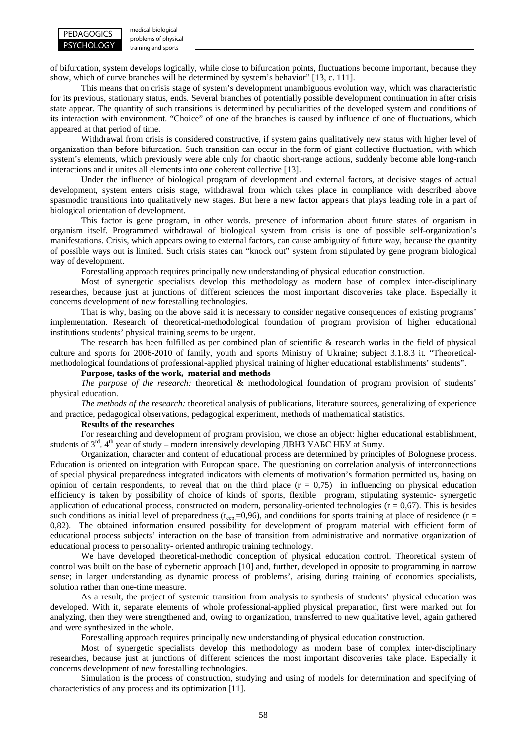

medical-biological problems of physical training and sports

of bifurcation, system develops logically, while close to bifurcation points, fluctuations become important, because they show, which of curve branches will be determined by system's behavior" [13, c. 111].

This means that on crisis stage of system's development unambiguous evolution way, which was characteristic for its previous, stationary status, ends. Several branches of potentially possible development continuation in after crisis state appear. The quantity of such transitions is determined by peculiarities of the developed system and conditions of its interaction with environment. "Choice" of one of the branches is caused by influence of one of fluctuations, which appeared at that period of time.

Withdrawal from crisis is considered constructive, if system gains qualitatively new status with higher level of organization than before bifurcation. Such transition can occur in the form of giant collective fluctuation, with which system's elements, which previously were able only for chaotic short-range actions, suddenly become able long-ranch interactions and it unites all elements into one coherent collective [13].

Under the influence of biological program of development and external factors, at decisive stages of actual development, system enters crisis stage, withdrawal from which takes place in compliance with described above spasmodic transitions into qualitatively new stages. But here a new factor appears that plays leading role in a part of biological orientation of development.

This factor is gene program, in other words, presence of information about future states of organism in organism itself. Programmed withdrawal of biological system from crisis is one of possible self-organization's manifestations. Crisis, which appears owing to external factors, can cause ambiguity of future way, because the quantity of possible ways out is limited. Such crisis states can "knock out" system from stipulated by gene program biological way of development.

Forestalling approach requires principally new understanding of physical education construction.

Most of synergetic specialists develop this methodology as modern base of complex inter-disciplinary researches, because just at junctions of different sciences the most important discoveries take place. Especially it concerns development of new forestalling technologies.

That is why, basing on the above said it is necessary to consider negative consequences of existing programs' implementation. Research of theoretical-methodological foundation of program provision of higher educational institutions students' physical training seems to be urgent.

The research has been fulfilled as per combined plan of scientific & research works in the field of physical culture and sports for 2006-2010 of family, youth and sports Ministry of Ukraine; subject 3.1.8.3 it. "Theoreticalmethodological foundations of professional-applied physical training of higher educational establishments' students".

# **Purpose, tasks of the work, material and methods**

*The purpose of the research:* theoretical & methodological foundation of program provision of students' physical education.

*The methods of the research:* theoretical analysis of publications, literature sources, generalizing of experience and practice, pedagogical observations, pedagogical experiment, methods of mathematical statistics.

#### **Results of the researches**

For researching and development of program provision, we chose an object: higher educational establishment, students of  $3<sup>rd</sup>$ ,  $4<sup>th</sup>$  year of study – modern intensively developing ДВНЗ УАБС НБУ at Sumy.

Organization, character and content of educational process are determined by principles of Bolognese process. Education is oriented on integration with European space. The questioning on correlation analysis of interconnections of special physical preparedness integrated indicators with elements of motivation's formation permitted us, basing on opinion of certain respondents, to reveal that on the third place  $(r = 0.75)$  in influencing on physical education efficiency is taken by possibility of choice of kinds of sports, flexible program, stipulating systemic- synergetic application of educational process, constructed on modern, personality-oriented technologies  $(r = 0.67)$ . This is besides such conditions as initial level of preparedness  $(r_{\text{cen}}=0.96)$ , and conditions for sports training at place of residence (r = 0,82). The obtained information ensured possibility for development of program material with efficient form of educational process subjects' interaction on the base of transition from administrative and normative organization of educational process to personality- oriented anthropic training technology.

We have developed theoretical-methodic conception of physical education control. Theoretical system of control was built on the base of cybernetic approach [10] and, further, developed in opposite to programming in narrow sense; in larger understanding as dynamic process of problems', arising during training of economics specialists, solution rather than one-time measure.

As a result, the project of systemic transition from analysis to synthesis of students' physical education was developed. With it, separate elements of whole professional-applied physical preparation, first were marked out for analyzing, then they were strengthened and, owing to organization, transferred to new qualitative level, again gathered and were synthesized in the whole.

Forestalling approach requires principally new understanding of physical education construction.

Most of synergetic specialists develop this methodology as modern base of complex inter-disciplinary researches, because just at junctions of different sciences the most important discoveries take place. Especially it concerns development of new forestalling technologies.

Simulation is the process of construction, studying and using of models for determination and specifying of characteristics of any process and its optimization [11].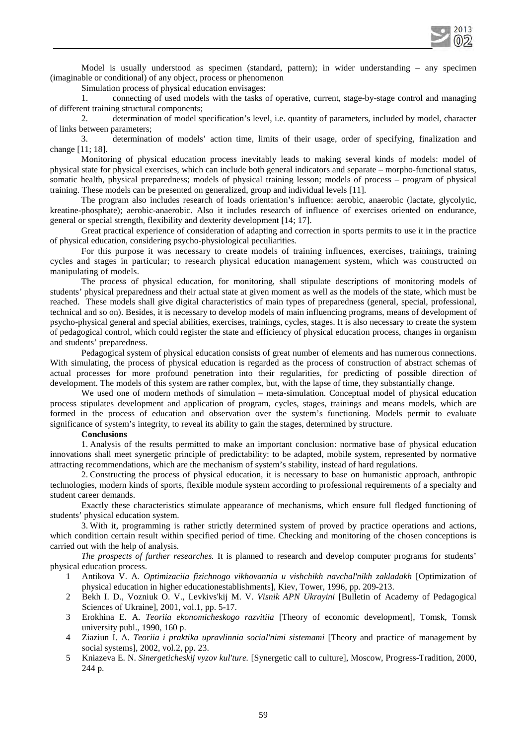

Model is usually understood as specimen (standard, pattern); in wider understanding – any specimen (imaginable or conditional) of any object, process or phenomenon

Simulation process of physical education envisages:

1. connecting of used models with the tasks of operative, current, stage-by-stage control and managing of different training structural components;

2. determination of model specification's level, i.e. quantity of parameters, included by model, character of links between parameters;

3. determination of models' action time, limits of their usage, order of specifying, finalization and change [11; 18].

Monitoring of physical education process inevitably leads to making several kinds of models: model of physical state for physical exercises, which can include both general indicators and separate – morpho-functional status, somatic health, physical preparedness; models of physical training lesson; models of process – program of physical training. These models can be presented on generalized, group and individual levels [11].

The program also includes research of loads orientation's influence: aerobic, anaerobic (lactate, glycolytic, kreatine-phosphate); aerobic-anaerobic. Also it includes research of influence of exercises oriented on endurance, general or special strength, flexibility and dexterity development [14; 17].

Great practical experience of consideration of adapting and correction in sports permits to use it in the practice of physical education, considering psycho-physiological peculiarities.

For this purpose it was necessary to create models of training influences, exercises, trainings, training cycles and stages in particular; to research physical education management system, which was constructed on manipulating of models.

The process of physical education, for monitoring, shall stipulate descriptions of monitoring models of students' physical preparedness and their actual state at given moment as well as the models of the state, which must be reached. These models shall give digital characteristics of main types of preparedness (general, special, professional, technical and so on). Besides, it is necessary to develop models of main influencing programs, means of development of psycho-physical general and special abilities, exercises, trainings, cycles, stages. It is also necessary to create the system of pedagogical control, which could register the state and efficiency of physical education process, changes in organism and students' preparedness.

Pedagogical system of physical education consists of great number of elements and has numerous connections. With simulating, the process of physical education is regarded as the process of construction of abstract schemas of actual processes for more profound penetration into their regularities, for predicting of possible direction of development. The models of this system are rather complex, but, with the lapse of time, they substantially change.

We used one of modern methods of simulation – meta-simulation. Conceptual model of physical education process stipulates development and application of program, cycles, stages, trainings and means models, which are formed in the process of education and observation over the system's functioning. Models permit to evaluate significance of system's integrity, to reveal its ability to gain the stages, determined by structure.

## **Conclusions**

1. Analysis of the results permitted to make an important conclusion: normative base of physical education innovations shall meet synergetic principle of predictability: to be adapted, mobile system, represented by normative attracting recommendations, which are the mechanism of system's stability, instead of hard regulations.

2. Constructing the process of physical education, it is necessary to base on humanistic approach, anthropic technologies, modern kinds of sports, flexible module system according to professional requirements of a specialty and student career demands.

Exactly these characteristics stimulate appearance of mechanisms, which ensure full fledged functioning of students' physical education system.

3. With it, programming is rather strictly determined system of proved by practice operations and actions, which condition certain result within specified period of time. Checking and monitoring of the chosen conceptions is carried out with the help of analysis.

*The prospects of further researches.* It is planned to research and develop computer programs for students' physical education process.

- 1 Antikova V. A. *Optimizaciia fizichnogo vikhovannia u vishchikh navchal'nikh zakladakh* [Optimization of physical education in higher educationestablishments], Kiev, Tower, 1996, pp. 209-213.
- 2 Bekh I. D., Vozniuk O. V., Levkivs'kij M. V. *Visnik APN Ukrayini* [Bulletin of Academy of Pedagogical Sciences of Ukraine], 2001, vol.1, pp. 5-17.
- 3 Erokhina E*.* A*. Teoriia ekonomicheskogo razvitiia* [Theory of economic development], Tomsk, Tomsk university publ., 1990, 160 p.
- 4 Ziaziun I. A. *Teoriia i praktika upravlinnia social'nimi sistemami* [Theory and practice of management by social systems], 2002, vol.2, pp. 23.
- 5 Kniazeva E. N. *Sinergeticheskij vyzov kul'ture.* [Synergetic call to culture], Moscow, Progress-Tradition, 2000, 244 p.